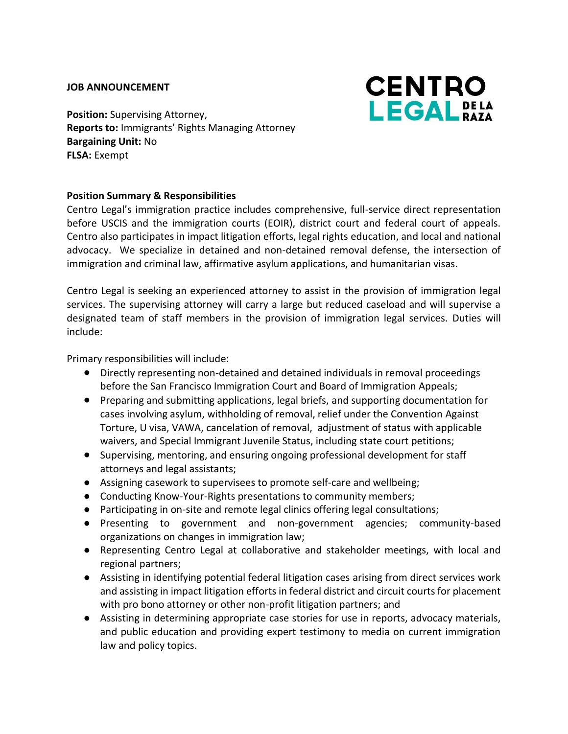#### **JOB ANNOUNCEMENT**



**Position:** Supervising Attorney, **Reports to:** Immigrants' Rights Managing Attorney **Bargaining Unit:** No **FLSA:** Exempt

## **Position Summary & Responsibilities**

Centro Legal's immigration practice includes comprehensive, full-service direct representation before USCIS and the immigration courts (EOIR), district court and federal court of appeals. Centro also participates in impact litigation efforts, legal rights education, and local and national advocacy. We specialize in detained and non-detained removal defense, the intersection of immigration and criminal law, affirmative asylum applications, and humanitarian visas.

Centro Legal is seeking an experienced attorney to assist in the provision of immigration legal services. The supervising attorney will carry a large but reduced caseload and will supervise a designated team of staff members in the provision of immigration legal services. Duties will include:

Primary responsibilities will include:

- Directly representing non-detained and detained individuals in removal proceedings before the San Francisco Immigration Court and Board of Immigration Appeals;
- Preparing and submitting applications, legal briefs, and supporting documentation for cases involving asylum, withholding of removal, relief under the Convention Against Torture, U visa, VAWA, cancelation of removal, adjustment of status with applicable waivers, and Special Immigrant Juvenile Status, including state court petitions;
- Supervising, mentoring, and ensuring ongoing professional development for staff attorneys and legal assistants;
- Assigning casework to supervisees to promote self-care and wellbeing;
- Conducting Know-Your-Rights presentations to community members;
- Participating in on-site and remote legal clinics offering legal consultations;
- Presenting to government and non-government agencies; community-based organizations on changes in immigration law;
- Representing Centro Legal at collaborative and stakeholder meetings, with local and regional partners;
- Assisting in identifying potential federal litigation cases arising from direct services work and assisting in impact litigation efforts in federal district and circuit courts for placement with pro bono attorney or other non-profit litigation partners; and
- Assisting in determining appropriate case stories for use in reports, advocacy materials, and public education and providing expert testimony to media on current immigration law and policy topics.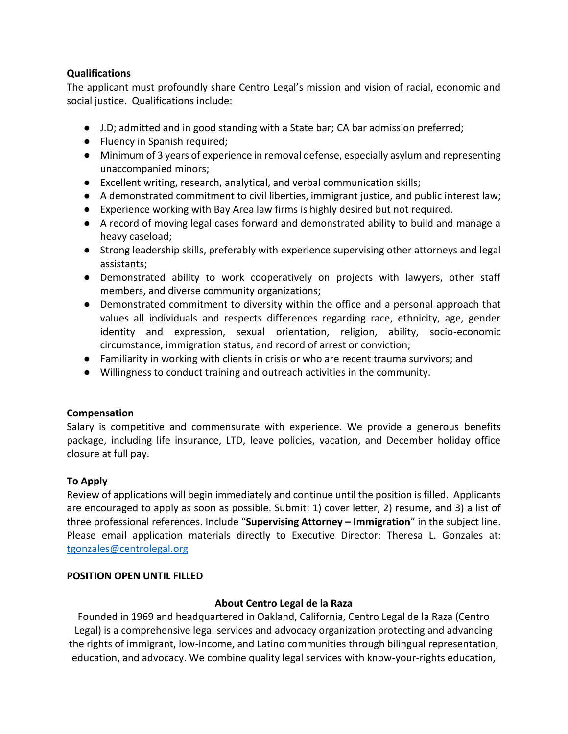## **Qualifications**

The applicant must profoundly share Centro Legal's mission and vision of racial, economic and social justice. Qualifications include:

- J.D; admitted and in good standing with a State bar; CA bar admission preferred;
- Fluency in Spanish required;
- Minimum of 3 years of experience in removal defense, especially asylum and representing unaccompanied minors;
- Excellent writing, research, analytical, and verbal communication skills;
- A demonstrated commitment to civil liberties, immigrant justice, and public interest law;
- Experience working with Bay Area law firms is highly desired but not required.
- A record of moving legal cases forward and demonstrated ability to build and manage a heavy caseload;
- Strong leadership skills, preferably with experience supervising other attorneys and legal assistants;
- Demonstrated ability to work cooperatively on projects with lawyers, other staff members, and diverse community organizations;
- Demonstrated commitment to diversity within the office and a personal approach that values all individuals and respects differences regarding race, ethnicity, age, gender identity and expression, sexual orientation, religion, ability, socio-economic circumstance, immigration status, and record of arrest or conviction;
- Familiarity in working with clients in crisis or who are recent trauma survivors; and
- Willingness to conduct training and outreach activities in the community.

# **Compensation**

Salary is competitive and commensurate with experience. We provide a generous benefits package, including life insurance, LTD, leave policies, vacation, and December holiday office closure at full pay.

### **To Apply**

Review of applications will begin immediately and continue until the position is filled. Applicants are encouraged to apply as soon as possible. Submit: 1) cover letter, 2) resume, and 3) a list of three professional references. Include "**Supervising Attorney – Immigration**" in the subject line. Please email application materials directly to Executive Director: Theresa L. Gonzales at: [tgonzales@centrolegal.org](mailto:tgonzales@centrolegal.org)

### **POSITION OPEN UNTIL FILLED**

# **About Centro Legal de la Raza**

Founded in 1969 and headquartered in Oakland, California, Centro Legal de la Raza (Centro Legal) is a comprehensive legal services and advocacy organization protecting and advancing the rights of immigrant, low-income, and Latino communities through bilingual representation, education, and advocacy. We combine quality legal services with know-your-rights education,